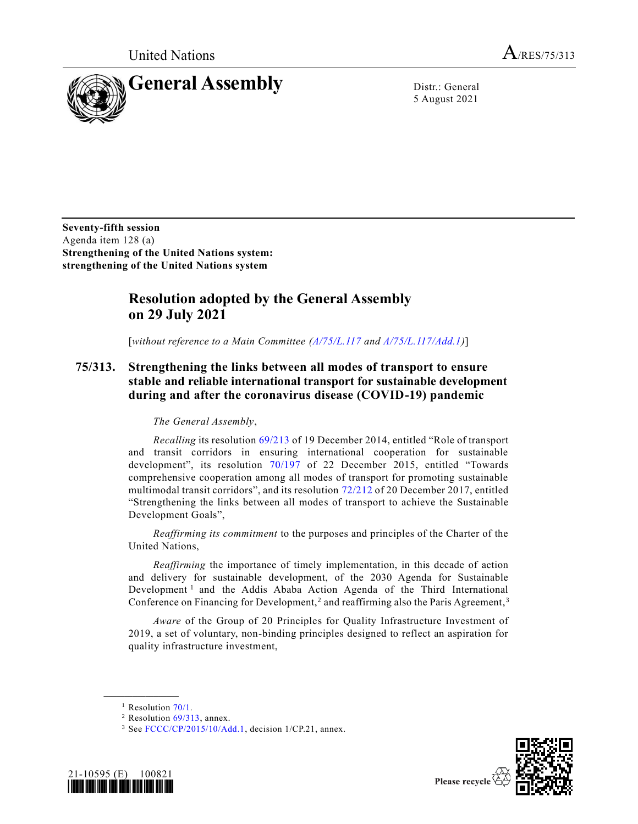United Nations  $A_{/RES/75/313}$ 



5 August 2021

**Seventy-fifth session** Agenda item 128 (a) **Strengthening of the United Nations system: strengthening of the United Nations system**

## **Resolution adopted by the General Assembly on 29 July 2021**

[*without reference to a Main Committee [\(A/75/L.117](https://undocs.org/en/A/75/L.117) and [A/75/L.117/Add.1\)](https://undocs.org/en/A/75/L.117/Add.1)*]

## **75/313. Strengthening the links between all modes of transport to ensure stable and reliable international transport for sustainable development during and after the coronavirus disease (COVID-19) pandemic**

## *The General Assembly*,

*Recalling* its resolution [69/213](https://undocs.org/en/A/RES/69/213) of 19 December 2014, entitled "Role of transport and transit corridors in ensuring international cooperation for sustainable development", its resolution [70/197](https://undocs.org/en/A/RES/70/197) of 22 December 2015, entitled "Towards comprehensive cooperation among all modes of transport for promoting sustainable multimodal transit corridors", and its resolution [72/212](https://undocs.org/en/A/RES/72/212) of 20 December 2017, entitled "Strengthening the links between all modes of transport to achieve the Sustainable Development Goals",

*Reaffirming its commitment* to the purposes and principles of the Charter of the United Nations,

*Reaffirming* the importance of timely implementation, in this decade of action and delivery for sustainable development, of the 2030 Agenda for Sustainable Development<sup>1</sup> and the Addis Ababa Action Agenda of the Third International Conference on Financing for Development,<sup>2</sup> and reaffirming also the Paris Agreement,<sup>3</sup>

*Aware* of the Group of 20 Principles for Quality Infrastructure Investment of 2019, a set of voluntary, non-binding principles designed to reflect an aspiration for quality infrastructure investment,

**\_\_\_\_\_\_\_\_\_\_\_\_\_\_\_\_\_\_**

<sup>3</sup> See [FCCC/CP/2015/10/Add.1,](https://undocs.org/en/FCCC/CP/2015/10/Add.1) decision 1/CP.21, annex.





<sup>&</sup>lt;sup>1</sup> Resolution  $70/1$ .

 $2$  Resolution  $69/313$ , annex.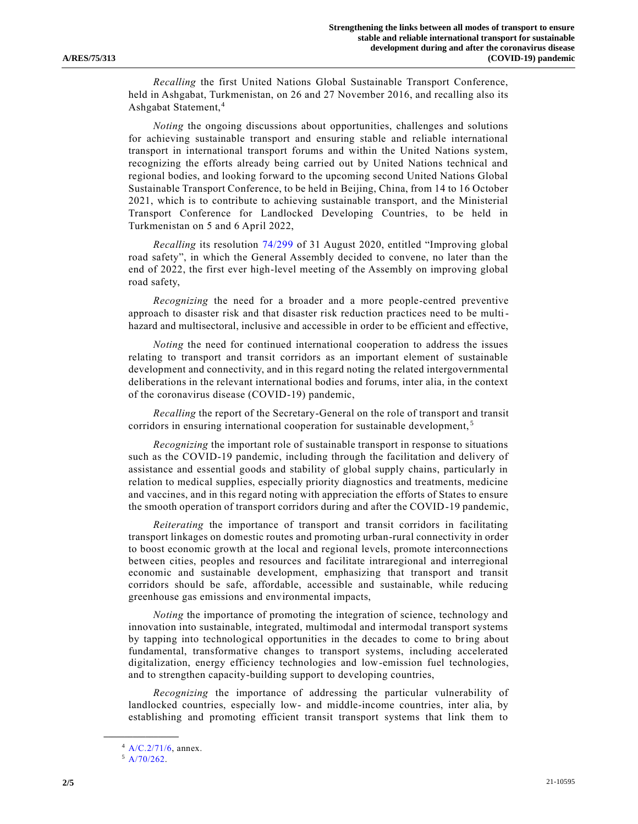*Recalling* the first United Nations Global Sustainable Transport Conference, held in Ashgabat, Turkmenistan, on 26 and 27 November 2016, and recalling also its Ashgabat Statement,<sup>4</sup>

*Noting* the ongoing discussions about opportunities, challenges and solutions for achieving sustainable transport and ensuring stable and reliable international transport in international transport forums and within the United Nations system, recognizing the efforts already being carried out by United Nations technical and regional bodies, and looking forward to the upcoming second United Nations Global Sustainable Transport Conference, to be held in Beijing, China, from 14 to 16 October 2021, which is to contribute to achieving sustainable transport, and the Ministerial Transport Conference for Landlocked Developing Countries, to be held in Turkmenistan on 5 and 6 April 2022,

*Recalling* its resolution [74/299](https://undocs.org/en/A/RES/74/299) of 31 August 2020, entitled "Improving global road safety", in which the General Assembly decided to convene, no later than the end of 2022, the first ever high-level meeting of the Assembly on improving global road safety,

*Recognizing* the need for a broader and a more people-centred preventive approach to disaster risk and that disaster risk reduction practices need to be multihazard and multisectoral, inclusive and accessible in order to be efficient and effective,

*Noting* the need for continued international cooperation to address the issues relating to transport and transit corridors as an important element of sustainable development and connectivity, and in this regard noting the related intergovernmental deliberations in the relevant international bodies and forums, inter alia, in the context of the coronavirus disease (COVID-19) pandemic,

*Recalling* the report of the Secretary-General on the role of transport and transit corridors in ensuring international cooperation for sustainable development,<sup>5</sup>

*Recognizing* the important role of sustainable transport in response to situations such as the COVID-19 pandemic, including through the facilitation and delivery of assistance and essential goods and stability of global supply chains, particularly in relation to medical supplies, especially priority diagnostics and treatments, medicine and vaccines, and in this regard noting with appreciation the efforts of States to ensure the smooth operation of transport corridors during and after the COVID-19 pandemic,

*Reiterating* the importance of transport and transit corridors in facilitating transport linkages on domestic routes and promoting urban-rural connectivity in order to boost economic growth at the local and regional levels, promote interconnections between cities, peoples and resources and facilitate intraregional and interregional economic and sustainable development, emphasizing that transport and transit corridors should be safe, affordable, accessible and sustainable, while reducing greenhouse gas emissions and environmental impacts,

*Noting* the importance of promoting the integration of science, technology and innovation into sustainable, integrated, multimodal and intermodal transport systems by tapping into technological opportunities in the decades to come to bring about fundamental, transformative changes to transport systems, including accelerated digitalization, energy efficiency technologies and low-emission fuel technologies, and to strengthen capacity-building support to developing countries,

*Recognizing* the importance of addressing the particular vulnerability of landlocked countries, especially low- and middle-income countries, inter alia, by establishing and promoting efficient transit transport systems that link them to

**\_\_\_\_\_\_\_\_\_\_\_\_\_\_\_\_\_\_**

<sup>4</sup> [A/C.2/71/6,](https://undocs.org/en/A/C.2/71/6) annex.

 $5$  [A/70/262.](https://undocs.org/en/A/70/262)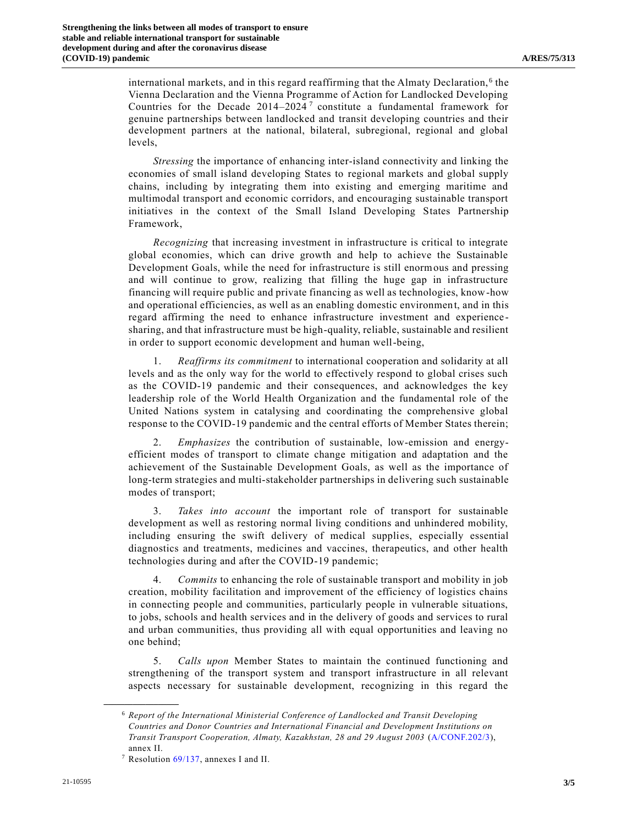international markets, and in this regard reaffirming that the Almaty Declaration,<sup>6</sup> the Vienna Declaration and the Vienna Programme of Action for Landlocked Developing Countries for the Decade  $2014-2024$ <sup>7</sup> constitute a fundamental framework for genuine partnerships between landlocked and transit developing countries and their development partners at the national, bilateral, subregional, regional and global levels,

*Stressing* the importance of enhancing inter-island connectivity and linking the economies of small island developing States to regional markets and global supply chains, including by integrating them into existing and emerging maritime and multimodal transport and economic corridors, and encouraging sustainable transport initiatives in the context of the Small Island Developing States Partnership Framework,

*Recognizing* that increasing investment in infrastructure is critical to integrate global economies, which can drive growth and help to achieve the Sustainable Development Goals, while the need for infrastructure is still enormous and pressing and will continue to grow, realizing that filling the huge gap in infrastructure financing will require public and private financing as well as technologies, know-how and operational efficiencies, as well as an enabling domestic environment, and in this regard affirming the need to enhance infrastructure investment and experience sharing, and that infrastructure must be high-quality, reliable, sustainable and resilient in order to support economic development and human well-being,

1. *Reaffirms its commitment* to international cooperation and solidarity at all levels and as the only way for the world to effectively respond to global crises such as the COVID-19 pandemic and their consequences, and acknowledges the key leadership role of the World Health Organization and the fundamental role of the United Nations system in catalysing and coordinating the comprehensive global response to the COVID-19 pandemic and the central efforts of Member States therein;

2. *Emphasizes* the contribution of sustainable, low-emission and energyefficient modes of transport to climate change mitigation and adaptation and the achievement of the Sustainable Development Goals, as well as the importance of long-term strategies and multi-stakeholder partnerships in delivering such sustainable modes of transport;

3. *Takes into account* the important role of transport for sustainable development as well as restoring normal living conditions and unhindered mobility, including ensuring the swift delivery of medical supplies, especially essential diagnostics and treatments, medicines and vaccines, therapeutics, and other health technologies during and after the COVID-19 pandemic;

4. *Commits* to enhancing the role of sustainable transport and mobility in job creation, mobility facilitation and improvement of the efficiency of logistics chains in connecting people and communities, particularly people in vulnerable situations, to jobs, schools and health services and in the delivery of goods and services to rural and urban communities, thus providing all with equal opportunities and leaving no one behind;

5. *Calls upon* Member States to maintain the continued functioning and strengthening of the transport system and transport infrastructure in all relevant aspects necessary for sustainable development, recognizing in this regard the

**\_\_\_\_\_\_\_\_\_\_\_\_\_\_\_\_\_\_**

<sup>6</sup> *Report of the International Ministerial Conference of Landlocked and Transit Developing Countries and Donor Countries and International Financial and Development Institutions on Transit Transport Cooperation, Almaty, Kazakhstan, 28 and 29 August 2003* [\(A/CONF.202/3\)](https://undocs.org/en/A/CONF.202/3), annex II.

<sup>7</sup> Resolution [69/137,](https://undocs.org/en/A/RES/69/137) annexes I and II.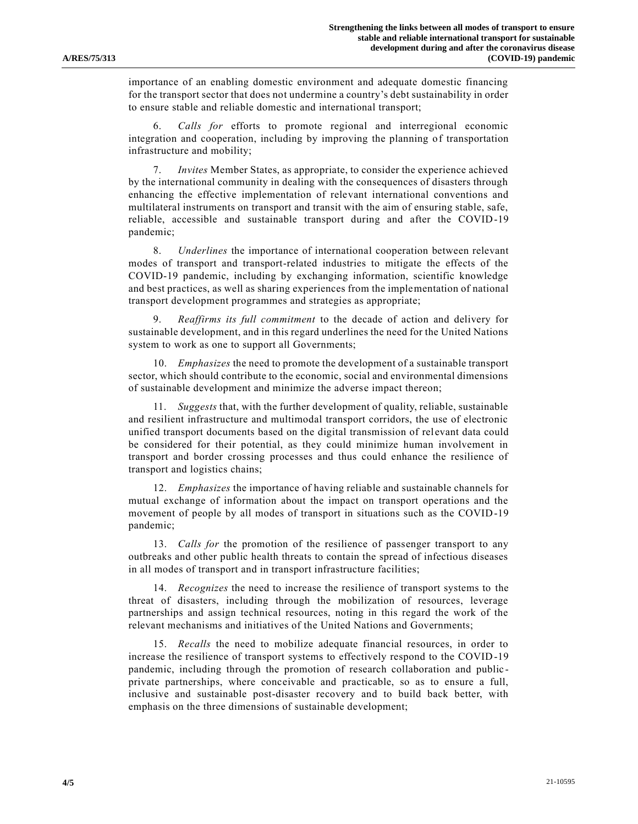importance of an enabling domestic environment and adequate domestic financing for the transport sector that does not undermine a country's debt sustainability in order to ensure stable and reliable domestic and international transport;

6. *Calls for* efforts to promote regional and interregional economic integration and cooperation, including by improving the planning of transportation infrastructure and mobility;

*Invites* Member States, as appropriate, to consider the experience achieved by the international community in dealing with the consequences of disasters through enhancing the effective implementation of relevant international conventions and multilateral instruments on transport and transit with the aim of ensuring stable, safe, reliable, accessible and sustainable transport during and after the COVID-19 pandemic;

8. *Underlines* the importance of international cooperation between relevant modes of transport and transport-related industries to mitigate the effects of the COVID-19 pandemic, including by exchanging information, scientific knowledge and best practices, as well as sharing experiences from the implementation of national transport development programmes and strategies as appropriate;

9. *Reaffirms its full commitment* to the decade of action and delivery for sustainable development, and in this regard underlines the need for the United Nations system to work as one to support all Governments;

10. *Emphasizes* the need to promote the development of a sustainable transport sector, which should contribute to the economic, social and environmental dimensions of sustainable development and minimize the adverse impact thereon;

11. *Suggests* that, with the further development of quality, reliable, sustainable and resilient infrastructure and multimodal transport corridors, the use of electronic unified transport documents based on the digital transmission of rel evant data could be considered for their potential, as they could minimize human involvement in transport and border crossing processes and thus could enhance the resilience of transport and logistics chains;

12. *Emphasizes* the importance of having reliable and sustainable channels for mutual exchange of information about the impact on transport operations and the movement of people by all modes of transport in situations such as the COVID-19 pandemic;

13. *Calls for* the promotion of the resilience of passenger transport to any outbreaks and other public health threats to contain the spread of infectious diseases in all modes of transport and in transport infrastructure facilities;

14. *Recognizes* the need to increase the resilience of transport systems to the threat of disasters, including through the mobilization of resources, leverage partnerships and assign technical resources, noting in this regard the work of the relevant mechanisms and initiatives of the United Nations and Governments;

15. *Recalls* the need to mobilize adequate financial resources, in order to increase the resilience of transport systems to effectively respond to the COVID-19 pandemic, including through the promotion of research collaboration and public private partnerships, where conceivable and practicable, so as to ensure a full, inclusive and sustainable post-disaster recovery and to build back better, with emphasis on the three dimensions of sustainable development;